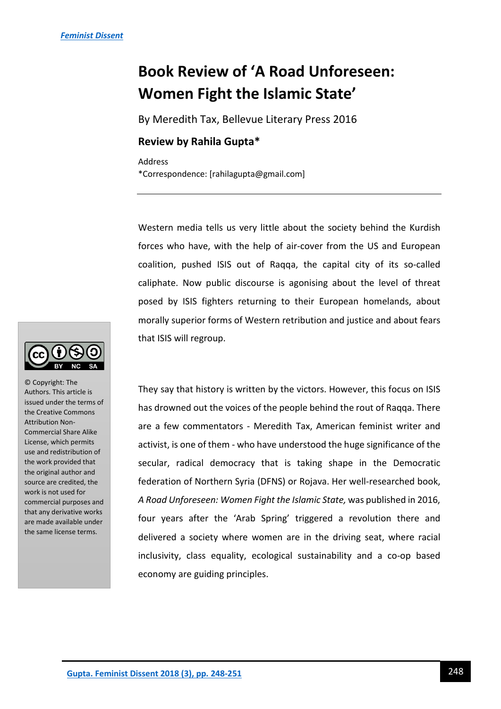## **Book Review of 'A Road Unforeseen: Women Fight the Islamic State'**

By Meredith Tax, Bellevue Literary Press 2016

## **Review by Rahila Gupta\***

Address \*Correspondence: [rahilagupta@gmail.com]

Western media tells us very little about the society behind the Kurdish forces who have, with the help of air-cover from the US and European coalition, pushed ISIS out of Raqqa, the capital city of its so-called caliphate. Now public discourse is agonising about the level of threat posed by ISIS fighters returning to their European homelands, about morally superior forms of Western retribution and justice and about fears that ISIS will regroup.

They say that history is written by the victors. However, this focus on ISIS has drowned out the voices of the people behind the rout of Raqqa. There are a few commentators - Meredith Tax, American feminist writer and activist, is one of them - who have understood the huge significance of the secular, radical democracy that is taking shape in the Democratic federation of Northern Syria (DFNS) or Rojava. Her well-researched book, *A Road Unforeseen: Women Fight the Islamic State,* was published in 2016, four years after the 'Arab Spring' triggered a revolution there and delivered a society where women are in the driving seat, where racial inclusivity, class equality, ecological sustainability and a co-op based economy are guiding principles.



© Copyright: The Authors. This article is issued under the terms of the Creative Commons Attribution Non-Commercial Share Alike License, which permits use and redistribution of the work provided that the original author and source are credited, the work is not used for commercial purposes and that any derivative works are made available under the same license terms.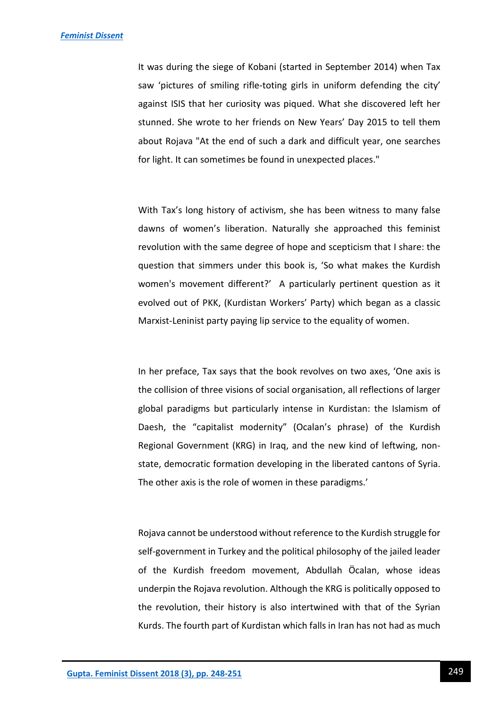It was during the siege of Kobani (started in September 2014) when Tax saw 'pictures of smiling rifle-toting girls in uniform defending the city' against ISIS that her curiosity was piqued. What she discovered left her stunned. She wrote to her friends on New Years' Day 2015 to tell them about Rojava "At the end of such a dark and difficult year, one searches for light. It can sometimes be found in unexpected places."

With Tax's long history of activism, she has been witness to many false dawns of women's liberation. Naturally she approached this feminist revolution with the same degree of hope and scepticism that I share: the question that simmers under this book is, 'So what makes the Kurdish women's movement different?' A particularly pertinent question as it evolved out of PKK, (Kurdistan Workers' Party) which began as a classic Marxist-Leninist party paying lip service to the equality of women.

In her preface, Tax says that the book revolves on two axes, 'One axis is the collision of three visions of social organisation, all reflections of larger global paradigms but particularly intense in Kurdistan: the Islamism of Daesh, the "capitalist modernity" (Ocalan's phrase) of the Kurdish Regional Government (KRG) in Iraq, and the new kind of leftwing, nonstate, democratic formation developing in the liberated cantons of Syria. The other axis is the role of women in these paradigms.'

Rojava cannot be understood without reference to the Kurdish struggle for self-government in Turkey and the political philosophy of the jailed leader of the Kurdish freedom movement, Abdullah Öcalan, whose ideas underpin the Rojava revolution. Although the KRG is politically opposed to the revolution, their history is also intertwined with that of the Syrian Kurds. The fourth part of Kurdistan which falls in Iran has not had as much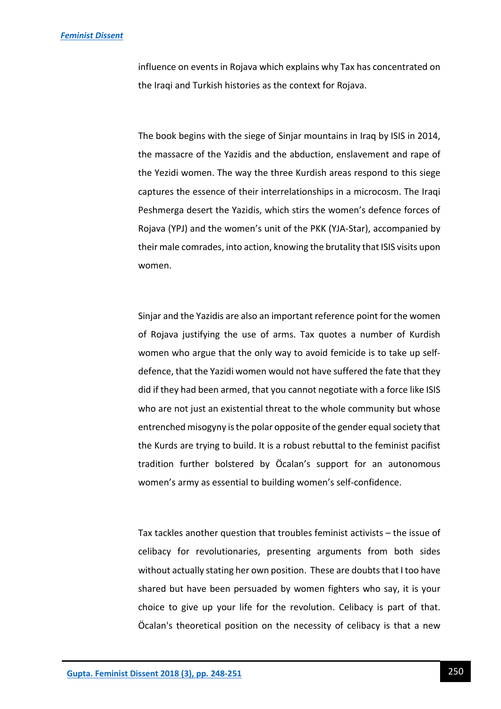influence on events in Rojava which explains why Tax has concentrated on the Iraqi and Turkish histories as the context for Rojava.

The book begins with the siege of Sinjar mountains in Iraq by ISIS in 2014, the massacre of the Yazidis and the abduction, enslavement and rape of the Yezidi women. The way the three Kurdish areas respond to this siege captures the essence of their interrelationships in a microcosm. The Iraqi Peshmerga desert the Yazidis, which stirs the women's defence forces of Rojava (YPJ) and the women's unit of the PKK (YJA-Star), accompanied by their male comrades, into action, knowing the brutality that ISIS visits upon women.

Sinjar and the Yazidis are also an important reference point for the women of Rojava justifying the use of arms. Tax quotes a number of Kurdish women who argue that the only way to avoid femicide is to take up selfdefence, that the Yazidi women would not have suffered the fate that they did if they had been armed, that you cannot negotiate with a force like ISIS who are not just an existential threat to the whole community but whose entrenched misogyny is the polar opposite of the gender equal society that the Kurds are trying to build. It is a robust rebuttal to the feminist pacifist tradition further bolstered by Öcalan's support for an autonomous women's army as essential to building women's self-confidence.

Tax tackles another question that troubles feminist activists – the issue of celibacy for revolutionaries, presenting arguments from both sides without actually stating her own position. These are doubts that I too have shared but have been persuaded by women fighters who say, it is your choice to give up your life for the revolution. Celibacy is part of that. Öcalan's theoretical position on the necessity of celibacy is that a new